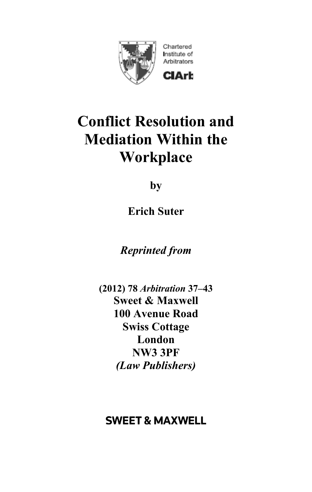

# **Conflict Resolution and Mediation Within the Workplace**

**by** 

**Erich Suter**

*Reprinted from* 

**(2012) 78** *Arbitration* **37–43 Sweet & Maxwell 100 Avenue Road Swiss Cottage London NW3 3PF**  *(Law Publishers)* 

# **SWEET & MAXWELL**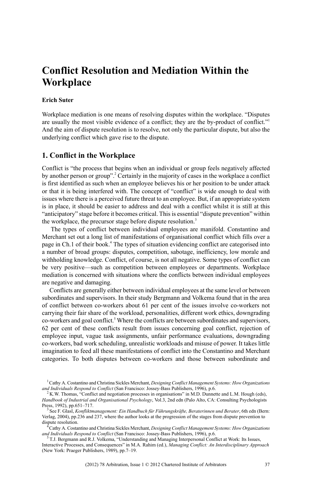## **Conflict Resolution and Mediation Within the Workplace**

#### **Erich Suter**

Workplace mediation is one means of resolving disputes within the workplace. "Disputes are usually the most visible evidence of a conflict; they are the by-product of conflict."<sup>1</sup> And the aim of dispute resolution is to resolve, not only the particular dispute, but also the underlying conflict which gave rise to the dispute.

#### **1. Conflict in the Workplace**

Conflict is "the process that begins when an individual or group feels negatively affected by another person or group".<sup>2</sup> Certainly in the majority of cases in the workplace a conflict is first identified as such when an employee believes his or her position to be under attack or that it is being interfered with. The concept of "conflict" is wide enough to deal with issues where there is a perceived future threat to an employee. But, if an appropriate system is in place, it should be easier to address and deal with a conflict whilst it is still at this "anticipatory" stage before it becomes critical. Thisis essential "dispute prevention" within the workplace, the precursor stage before dispute resolution.<sup>3</sup>

The types of conflict between individual employees are manifold. Constantino and Merchant set out a long list of manifestations of organisational conflict which fills over a page in Ch.1 of their book.<sup>4</sup> The types of situation evidencing conflict are categorised into a number of broad groups: disputes, competition, sabotage, inefficiency, low morale and withholding knowledge. Conflict, of course, is not all negative. Some types of conflict can be very positive—such as competition between employees or departments. Workplace mediation is concerned with situations where the conflicts between individual employees are negative and damaging.

Conflicts are generally either between individual employees at the same level or between subordinates and supervisors. In their study Bergmann and Volkema found that in the area of conflict between co-workers about 61 per cent of the issues involve co-workers not carrying their fair share of the workload, personalities, different work ethics, downgrading co-workers and goal conflict.<sup>5</sup> Where the conflicts are between subordinates and supervisors, 62 per cent of these conflicts result from issues concerning goal conflict, rejection of employee input, vague task assignments, unfair performance evaluations, downgrading co-workers, bad work scheduling, unrealistic workloads and misuse of power. It takes little imagination to feed all these manifestations of conflict into the Constantino and Merchant categories. To both disputes between co-workers and those between subordinate and

<sup>1</sup>Cathy A. Costantino and Christina Sickles Merchant, *Designing Conflict Management Systems: How Organizations and Individuals Respond to Conflict* (San Francisco: Jossey-Bass Publishers, 1996), p.6.

<sup>2</sup> K.W. Thomas, "Conflict and negotiation processes in organisations" in M.D. Dunnette and L.M. Hough (eds), *Handbook of Industrial and Organisational Psychology*, Vol.3, 2nd edn (Palo Alto, CA: Consulting Psychologists Press, 1992), pp.651–717.

<sup>3</sup> See F. Glasl, *Konfliktmanagement: Ein Handbuch für Führungskräfte, Beraterinnen und Berater*, 6th edn (Bern: Verlag, 2004), pp.236 and 237, where the author looks at the progression of the stages from dispute prevention to dispute resolution.

<sup>4</sup>Cathy A. Costantino and Christina Sickles Merchant, *Designing Conflict Management Systems: How Organizations and Individuals Respond to Conflict* (San Francisco: Jossey-Bass Publishers, 1996), p.6.

<sup>5</sup> T.J. Bergmann and R.J. Volkema, "Understanding and Managing Interpersonal Conflict at Work: Its Issues, Interactive Processes, and Consequences" in M.A. Rahim (ed.), *Managing Conflict: An Interdisciplinary Approach* (New York: Praeger Publishers, 1989), pp.7–19.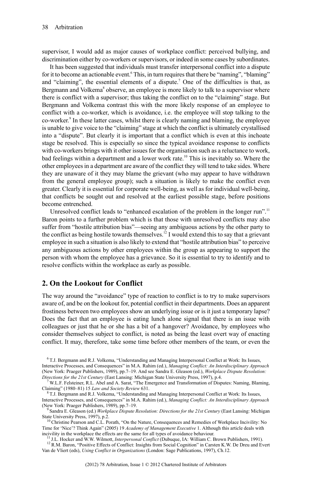supervisor, I would add as major causes of workplace conflict: perceived bullying, and discrimination either by co-workers or supervisors, or indeed in some cases by subordinates.

It has been suggested that individuals must transfer interpersonal conflict into a dispute for it to become an actionable event.<sup>6</sup> This, in turn requires that there be "naming", "blaming" and "claiming", the essential elements of a dispute.<sup>7</sup> One of the difficulties is that, as Bergmann and Volkema<sup>8</sup> observe, an employee is more likely to talk to a supervisor where there is conflict with a supervisor; thus taking the conflict on to the "claiming" stage. But Bergmann and Volkema contrast this with the more likely response of an employee to conflict with a co-worker, which is avoidance, i.e. the employee will stop talking to the co-worker. 9 In these latter cases, whilst there is clearly naming and blaming, the employee is unable to give voice to the "claiming" stage at which the conflict is ultimately crystallised into a "dispute". But clearly it is important that a conflict which is even at this inchoate stage be resolved. This is especially so since the typical avoidance response to conflicts with co-workers brings with it other issues for the organisation such as a reluctance to work, bad feelings within a department and a lower work rate.<sup>10</sup> This is inevitably so. Where the other employees in a department are aware of the conflict they will tend to take sides. Where they are unaware of it they may blame the grievant (who may appear to have withdrawn from the general employee group); such a situation is likely to make the conflict even greater. Clearly it is essential for corporate well-being, as well as for individual well-being, that conflicts be sought out and resolved at the earliest possible stage, before positions become entrenched.

Unresolved conflict leads to "enhanced escalation of the problem in the longer run".<sup>11</sup> Baron points to a further problem which is that those with unresolved conflicts may also suffer from "hostile attribution bias"—seeing any ambiguous actions by the other party to the conflict as being hostile towards themselves.<sup>12</sup> I would extend this to say that a grievant employee in such a situation is also likely to extend that "hostile attribution bias" to perceive any ambiguous actions by other employees within the group as appearing to support the person with whom the employee has a grievance. So it is essential to try to identify and to resolve conflicts within the workplace as early as possible.

#### **2. On the Lookout for Conflict**

The way around the "avoidance" type of reaction to conflict is to try to make supervisors aware of, and be on the lookout for, potential conflict in their departments. Does an apparent frostiness between two employees show an underlying issue or is it just a temporary lapse? Does the fact that an employee is eating lunch alone signal that there is an issue with colleagues or just that he or she has a bit of a hangover? Avoidance, by employees who consider themselves subject to conflict, is noted as being the least overt way of enacting conflict. It may, therefore, take some time before other members of the team, or even the

<sup>6</sup> T.J. Bergmann and R.J. Volkema, "Understanding and Managing Interpersonal Conflict at Work: Its Issues, Interactive Processes, and Consequences" in M.A. Rahim (ed.), *Managing Conflict: An Interdisciplinary Approach* (New York: Praeger Publishers, 1989), pp.7–19. And see Sandra E. Gleason (ed.), *Workplace Dispute Resolution: Directions for the 21st Century* (East Lansing: Michigan State University Press, 1997), p.4.

<sup>7</sup> W.L.F. Felsteiner, R.L. Abel and A. Sarat, "The Emergence and Transformation of Disputes: Naming, Blaming, Claiming" (1980–81) 15 *Law and Society Review* 631.

<sup>8</sup> T.J. Bergmann and R.J. Volkema, "Understanding and Managing Interpersonal Conflict at Work: Its Issues, Interactive Processes, and Consequences" in M.A. Rahim (ed.), *Managing Conflict: An Interdisciplinary Approach*

<sup>(</sup>New York: Praeger Publishers, 1989), pp.7–19. 9 Sandra E. Gleason (ed.) *Workplace Dispute Resolution: Directions for the 21st Century* (East Lansing: Michigan State University Press, 1997), p.2.<br><sup>10</sup> Christine Pearson and C.L. Porath, "On the Nature, Consequences and Remedies of Workplace Incivility: No

Time for 'Nice'? Think Again" (2005) 19 *Academy of Management Executive* 1. Although this article deals with incivility in the workplace the effects are the same for all types of avoidance behaviour.

<sup>11</sup> J.L. Hocker and W.W. Wilmott, *Interpersonal Conflict* (Dubuque, IA: William C. Brown Publishers, 1991).

<sup>&</sup>lt;sup>12</sup> R.M. Baron, "Positive Effects of Conflict: Insights from Social Cognition" in Carsten K.W. De Dreu and Evert Van de Vliert (eds), *Using Conflict in Organizations* (London: Sage Publications, 1997), Ch.12.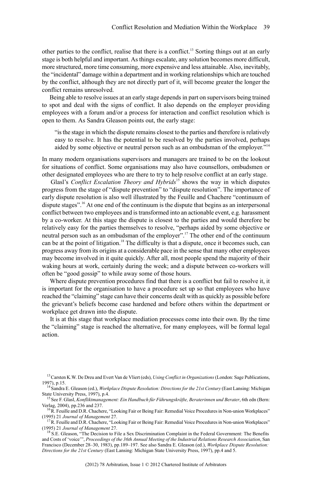other parties to the conflict, realise that there is a conflict.<sup>13</sup> Sorting things out at an early stage is both helpful and important. As things escalate, any solution becomes more difficult, more structured, more time consuming, more expensive and less attainable. Also, inevitably, the "incidental" damage within a department and in working relationships which are touched by the conflict, although they are not directly part of it, will become greater the longer the conflict remains unresolved.

Being able to resolve issues at an early stage depends in part on supervisors being trained to spot and deal with the signs of conflict. It also depends on the employer providing employees with a forum and/or a process for interaction and conflict resolution which is open to them. As Sandra Gleason points out, the early stage:

"isthe stage in which the dispute remains closest to the parties and therefore isrelatively easy to resolve. It has the potential to be resolved by the parties involved, perhaps aided by some objective or neutral person such as an ombudsman of the employer."<sup>14</sup>

In many modern organisations supervisors and managers are trained to be on the lookout for situations of conflict. Some organisations may also have counsellors, ombudsmen or other designated employees who are there to try to help resolve conflict at an early stage.

Glasl's *Conflict Escalation Theory and Hybrids*<sup>15</sup> shows the way in which disputes progress from the stage of "dispute prevention" to "dispute resolution". The importance of early dispute resolution is also well illustrated by the Feuille and Chachere "continuum of dispute stages".<sup>16</sup> At one end of the continuum is the dispute that begins as an interpersonal conflict between two employees and istransformed into an actionable event, e.g. harassment by a co-worker. At this stage the dispute is closest to the parties and would therefore be relatively easy for the parties themselves to resolve, "perhaps aided by some objective or neutral person such as an ombudsman of the employer".<sup>17</sup> The other end of the continuum can be at the point of litigation.<sup>18</sup> The difficulty is that a dispute, once it becomes such, can progress away from its origins at a considerable pace in the sense that many other employees may become involved in it quite quickly. After all, most people spend the majority of their waking hours at work, certainly during the week; and a dispute between co-workers will often be "good gossip" to while away some of those hours.

Where dispute prevention procedures find that there is a conflict but fail to resolve it, it is important for the organisation to have a procedure set up so that employees who have reached the "claiming" stage can have their concerns dealt with as quickly as possible before the grievant's beliefs become case hardened and before others within the department or workplace get drawn into the dispute.

It is at this stage that workplace mediation processes come into their own. By the time the "claiming" stage is reached the alternative, for many employees, will be formal legal action.

<sup>13</sup>Carsten K.W. De Dreu and Evert Van de Vliert (eds), *Using Conflict in Organizations*(London: Sage Publications, 1997), p.15.

<sup>14</sup>Sandra E. Gleason (ed.), *Workplace Dispute Resolution: Directions for the 21st Century* (East Lansing: Michigan State University Press, 1997), p.4.

<sup>15</sup>See F. Glasl, *Konfliktmanagement: Ein Handbuch für Führungskräfte, Beraterinnen und Berater*, 6th edn (Bern: Verlag, 2004), pp.236 and 237. <sup>16</sup>R. Feuille and D.R. Chachere, "Looking Fair or Being Fair: Remedial Voice Proceduresin Non-union Workplaces"

<sup>(1995)</sup> 21 *Journal of Management* 27.

<sup>&</sup>lt;sup>1</sup>R. Feuille and D.R. Chachere, "Looking Fair or Being Fair: Remedial Voice Procedures in Non-union Workplaces" (1995) 21 *Journal of Management* 27.

<sup>&</sup>lt;sup>18</sup> S.E. Gleason, "The Decision to File a Sex Discrimination Complaint in the Federal Government: The Benefits and Costs of 'voice'", *Proceedings of the 36th Annual Meeting of the Industrial Relations Research Association*, San Francisco (December 28–30, 1983), pp.189–197. See also Sandra E. Gleason (ed.), *Workplace Dispute Resolution: Directions for the 21st Century* (East Lansing: Michigan State University Press, 1997), pp.4 and 5.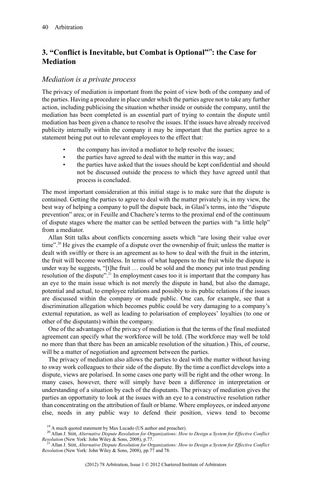### **3. "Conflict is Inevitable, but Combat is Optional"<sup>19</sup>: the Case for Mediation**

#### *Mediation is a private process*

The privacy of mediation is important from the point of view both of the company and of the parties. Having a procedure in place under which the parties agree not to take any further action, including publicising the situation whether inside or outside the company, until the mediation has been completed is an essential part of trying to contain the dispute until mediation has been given a chance to resolve the issues. If the issues have already received publicity internally within the company it may be important that the parties agree to a statement being put out to relevant employees to the effect that:

- the company has invited a mediator to help resolve the issues;
- the parties have agreed to deal with the matter in this way; and
- the parties have asked that the issues should be kept confidential and should not be discussed outside the process to which they have agreed until that process is concluded.

The most important consideration at this initial stage is to make sure that the dispute is contained. Getting the parties to agree to deal with the matter privately is, in my view, the best way of helping a company to pull the dispute back, in Glasl's terms, into the "dispute prevention" area; or in Feuille and Chachere's terms to the proximal end of the continuum of dispute stages where the matter can be settled between the parties with "a little help" from a mediator.

Allan Stitt talks about conflicts concerning assets which "are losing their value over time".<sup>20</sup> He gives the example of a dispute over the ownership of fruit; unless the matter is dealt with swiftly or there is an agreement as to how to deal with the fruit in the interim, the fruit will become worthless. In terms of what happens to the fruit while the dispute is under way he suggests, "[t]he fruit … could be sold and the money put into trust pending resolution of the dispute".<sup>21</sup> In employment cases too it is important that the company has an eye to the main issue which is not merely the dispute in hand, but also the damage, potential and actual, to employee relations and possibly to its public relations if the issues are discussed within the company or made public. One can, for example, see that a discrimination allegation which becomes public could be very damaging to a company's external reputation, as well as leading to polarisation of employees' loyalties (to one or other of the disputants) within the company.

One of the advantages of the privacy of mediation is that the terms of the final mediated agreement can specify what the workforce will be told. (The workforce may well be told no more than that there has been an amicable resolution of the situation.) This, of course, will be a matter of negotiation and agreement between the parties.

The privacy of mediation also allows the parties to deal with the matter without having to sway work colleagues to their side of the dispute. By the time a conflict develops into a dispute, views are polarised. In some cases one party will be right and the other wrong. In many cases, however, there will simply have been a difference in interpretation or understanding of a situation by each of the disputants. The privacy of mediation gives the parties an opportunity to look at the issues with an eye to a constructive resolution rather than concentrating on the attribution of fault or blame. Where employees, or indeed anyone else, needs in any public way to defend their position, views tend to become

<sup>&</sup>lt;sup>19</sup> A much quoted statement by Max Lucado (US author and preacher).

<sup>20</sup> Allan J. Stitt, *Alternative Dispute Resolution for Organizations: How to Design a System for Effective Conflict Resolution* (New York: John Wiley & Sons, 2008), p.77.

<sup>21</sup> Allan J. Stitt, *Alternative Dispute Resolution for Organizations: How to Design a System for Effective Conflict Resolution* (New York: John Wiley & Sons, 2008), pp.77 and 78.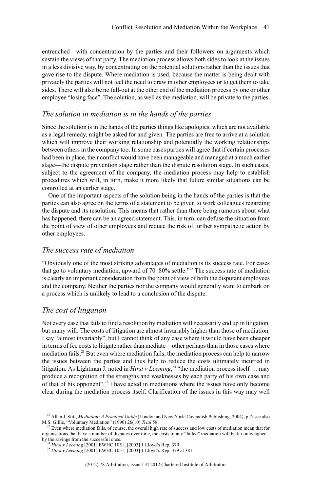entrenched—with concentration by the parties and their followers on arguments which sustain the views of that party. The mediation process allows both sides to look at the issues in a less divisive way, by concentrating on the potential solutions rather than the issues that gave rise to the dispute. Where mediation is used, because the matter is being dealt with privately the parties will not feel the need to draw in other employees or to get them to take sides. There will also be no fall-out at the other end of the mediation process by one or other employee "losing face". The solution, as well as the mediation, will be private to the parties.

#### *The solution in mediation is in the hands of the parties*

Since the solution is in the hands of the parties things like apologies, which are not available as a legal remedy, might be asked for and given. The parties are free to arrive at a solution which will improve their working relationship and potentially the working relationships between others in the company too. In some cases parties will agree that if certain processes had been in place, their conflict would have been manageable and managed at a much earlier stage—the dispute prevention stage rather than the dispute resolution stage. In such cases, subject to the agreement of the company, the mediation process may help to establish procedures which will, in turn, make it more likely that future similar situations can be controlled at an earlier stage.

One of the important aspects of the solution being in the hands of the parties is that the parties can also agree on the terms of a statement to be given to work colleagues regarding the dispute and its resolution. This means that rather than there being rumours about what has happened, there can be an agreed statement. This, in turn, can defuse the situation from the point of view of other employees and reduce the risk of further sympathetic action by other employees.

#### *The success rate of mediation*

"Obviously one of the most striking advantages of mediation is its success rate. For cases that go to voluntary mediation, upward of  $70-80\%$  settle."<sup>22</sup> The success rate of mediation is clearly an important consideration from the point of view of both the disputant employees and the company. Neither the parties nor the company would generally want to embark on a process which is unlikely to lead to a conclusion of the dispute.

#### *The cost of litigation*

Not every case that fails to find a resolution by mediation will necessarily end up in litigation, but many will. The costs of litigation are almost invariably higher than those of mediation. I say "almost invariably", but I cannot think of any case where it would have been cheaper in terms of fee costs to litigate rather than mediate—other perhaps than in those cases where mediation fails.<sup>23</sup> But even where mediation fails, the mediation process can help to narrow the issues between the parties and thus help to reduce the costs ultimately incurred in litigation. As Lightman J. noted in *Hirst v Leeming*, <sup>24</sup> "the mediation process itself … may produce a recognition of the strengths and weaknesses by each party of his own case and of that of his opponent".<sup>25</sup> I have acted in mediations where the issues have only become clear during the mediation process itself. Clarification of the issues in this way may well

<sup>22</sup> Allan J. Stitt, *Mediation: A Practical Guide* (London and New York: Cavendish Publishing, 2004), p.7; see also

M.S. Gillie, "Voluntary Mediation" (1990) 26(10) *Trial* 58. <sup>23</sup> Even where mediation fails, of course, the overall high rate of success and low costs of mediation mean that for organisations that have a number of disputes over time, the costs of any "failed" mediation will be far outweighed by the savings from the successful ones. <sup>24</sup> *Hirst v Leeming* [2001] EWHC 1051; [2003] 1 Lloyd's Rep. 379.

<sup>25</sup> *Hirst v Leeming* [2001] EWHC 1051; [2003] 1 Lloyd's Rep. 379 at 381.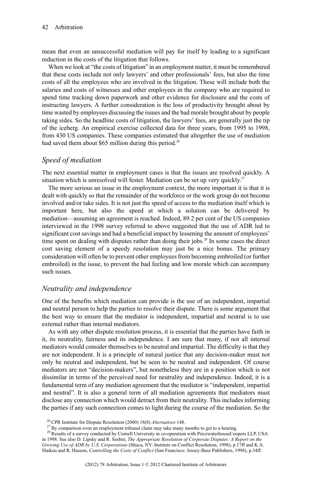mean that even an unsuccessful mediation will pay for itself by leading to a significant reduction in the costs of the litigation that follows.

When we look at "the costs of litigation" in an employment matter, it must be remembered that these costs include not only lawyers' and other professionals' fees, but also the time costs of all the employees who are involved in the litigation. These will include both the salaries and costs of witnesses and other employees in the company who are required to spend time tracking down paperwork and other evidence for disclosure and the costs of instructing lawyers. A further consideration is the loss of productivity brought about by time wasted by employees discussing the issues and the bad morale brought about by people taking sides. So the headline costs of litigation, the lawyers' fees, are generally just the tip of the iceberg. An empirical exercise collected data for three years, from 1995 to 1998, from 430 US companies. These companies estimated that altogether the use of mediation had saved them about \$65 million during this period.<sup>26</sup>

### *Speed of mediation*

The next essential matter in employment cases is that the issues are resolved quickly. A situation which is unresolved will fester. Mediation can be set up very quickly.<sup>27</sup>

The more serious an issue in the employment context, the more important it is that it is dealt with quickly so that the remainder of the workforce or the work group do not become involved and/or take sides. It is not just the speed of access to the mediation itself which is important here, but also the speed at which a solution can be delivered by mediation—assuming an agreement is reached. Indeed, 89.2 per cent of the US companies interviewed in the 1998 survey referred to above suggested that the use of ADR led to significant cost savings and had a beneficial impact by lessening the amount of employees' time spent on dealing with disputes rather than doing their jobs.<sup>28</sup> In some cases the direct cost saving element of a speedy resolution may just be a nice bonus. The primary consideration will often be to prevent other employeesfrom becoming embroiled (or further embroiled) in the issue, to prevent the bad feeling and low morale which can accompany such issues.

#### *Neutrality and independence*

One of the benefits which mediation can provide is the use of an independent, impartial and neutral person to help the parties to resolve their dispute. There is some argument that the best way to ensure that the mediator is independent, impartial and neutral is to use external rather than internal mediators.

As with any other dispute resolution process, it is essential that the parties have faith in it, its neutrality, fairness and its independence. I am sure that many, if not all internal mediators would consider themselves to be neutral and impartial. The difficulty is that they are not independent. It is a principle of natural justice that any decision-maker must not only be neutral and independent, but be seen to be neutral and independent. Of course mediators are not "decision-makers", but nonetheless they are in a position which is not dissimilar in terms of the perceived need for neutrality and independence. Indeed, it is a fundamental term of any mediation agreement that the mediator is "independent, impartial and neutral". It is also a general term of all mediation agreements that mediators must disclose any connection which would detract from their neutrality. This includes informing the parties if any such connection comes to light during the course of the mediation. So the

<sup>26</sup> CPR Institute for Dispute Resolution (2000) 18(8) *Alternatives* 148.

<sup>&</sup>lt;sup>27</sup> By comparison even an employment tribunal claim may take many months to get to a hearing.

<sup>&</sup>lt;sup>28</sup> Results of a survey conducted by Cornell University in co-operation with PricewaterhouseCoopers LLP, USA in 1998. See also D. Lipsky and R. Seeber, *The Appropriate Resolution of Corporate Disputes: A Report on the Growing Use of ADR by U.S. Corporations* (Ithaca, NY: Institute on Conflict Resolution, 1998), p.17ff and K.A. Slaikeu and R. Hasson, *Controlling the Costs of Conflict* (San Francisco: Jossey-Bass Publishers, 1998), p.34ff.